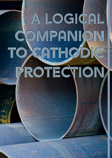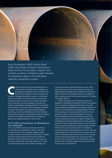

Julie Holmquist (USA), Khalil Abed (UAE) and Philip Horsford (Southeast Asia), Cortec Corporation, explain how volatile corrosion inhibitors quite literally fill significant gaps in the standard cathodic protection system.

athodic protection (CP) is well-established as the main method of soil-side corrosion mitigation on above<br>ground storage tanks (ASTs), according to AF 651 and other standards. It is also commonly used<br>to protect undergroun main method of soil-side corrosion mitigation on aboveground storage tanks (ASTs), according to API 651 and other standards. It is also commonly used that CP is only effective in areas where the structure to be protected is in direct contact with a conductive electrolyte. Loss of such direct contact leaves gaps in the protection system of cased pipeline crossings and floor-to-soil interfaces on AST bottoms. CorroLogic® VpCI® Technology developed by Cortec® Corporation, US, and distributed by regional providers such as Cortec Middle East and Cortec Southeast Asia, provides a practical complementary method of corrosion protection with significant potential for cost savings and greater asset integrity assurance for asset owners.

# CP for ASTs and pipelines: its effectiveness and challenges

CP is a very effective system under the right conditions. For ASTs that have tank bottoms in direct contact with a conductive pad, CP can completely mitigate soil-side corrosion. However, the tank floor-to-soil interface is complex and often includes air gaps where the bottom plate has buckled or the sand has settled. Since the sand carries the CP charge, the presence of such gaps shields the CP current from reaching the metal surface. Another challenge is the

continuous increase in sand pad dryness over time, which reduces the amount of CP current needed to achieve the required level of polarisation at the interface of tank bottom plates. The presence of shielding material such as asphalt or oily or bituminous sand in the tank pad renders the CP system only partially effective.

Another challenge faced in CP protected tanks is the feasibility of retrofitting the existing CP system in the presence of a non-conductive release preventive layer such as highdensity Polyethylene (HDPE) liners. Retrofitting a defective CP system on an existing AST can be physically labour intensive, time-consuming, and costly, requiring the entire tank to be jacked up in order to access the area below. This may be done simultaneously with tank re-bottoming, which itself carries an expensive price tag in the millions of dollars.<sup>1</sup> Both retrofitting and tank bottom replacement are best avoided, if possible, by more comprehensive protection in the first place that includes the complementary action of volatile corrosion inhibitors (VCI) such as CorroLogic VpCI. The inability to activate the CP system during construction of ASTs, which can take anywhere from several months to several years until the tank is commissioned, leaves the tank floor at risk of soil-side corrosion and eventually impacts the actual service life of the tank. This is an area where VCI can provide the necessary protection for the tank floor against soil-side corrosion until the CP system is commissioned.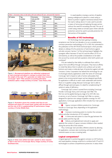| Table 1. Corrosion rates on lab tanks with and without CP, pre- and post-VCI injection |               |                                           |                                     |                         |
|----------------------------------------------------------------------------------------|---------------|-------------------------------------------|-------------------------------------|-------------------------|
| <b>CP status</b>                                                                       | Tag<br>number | <b>Corrosion</b><br>rate pre-VCI<br>(mpy) | Corrosion<br>rate post-VCI<br>(mpy) | Percentage<br>reduction |
| <b>OFF</b>                                                                             | TK-01         | 15.44                                     | 6.39                                | 59%                     |
|                                                                                        | TK-02         | 10.73                                     | 0.91                                | 92%                     |
|                                                                                        | TK-03         | 15.44                                     | 0.40                                | 97%                     |
| ON                                                                                     | TK-04         | 2.52                                      | 0.29                                | 88%                     |
|                                                                                        | TK-05         | 3.80                                      | 0.29                                | 92%                     |
|                                                                                        | TK-06         | 3.50                                      | 0.40                                | 88%                     |



Figure 1. Aboveground pipelines are redirected underground at road crossings and placed in casings to protect them from the weight of the road. CP is generally not viable here; however, CorroLogic® VpCI® Filler presents an exciting alternative protection option. Image courtesy of Cortec® Case History 628.



Figure 2. Illustration shows the complex tank floor-to-soil interface and where CP current loses contact with the tank floor and the role of VCI in supplementing CP performance. Image courtesy of Cortec Middle East.



Figure 3. Holes were drilled (and later sealed) to allow injection of VpCI in the form of CorroLogic Slurry. Image courtesy of Cortec Southeast Asia.

In cased pipeline crossings a section of pipeline passing underground is placed in a steel casing or sleeve to protect it against mechanical stresses from the road or railway above. It is also used to provide a means of removing and replacing the pipe section without the need for excavating the road. The use of a steel casing creates an annular space where cathodic protection cannot be used to provide protection for that section of the pipeline.

## Benefits of VCI technology

VCI Technology has been gaining increasing acceptance over the last two decades or so as a complementary corrosion prevention methodology to CP. In 2021, this culminated in the publication of the API TR 655 technical report, which provides details on utilising VCIs for protection of tank bottoms against soil-side corrosion. Section 7 of this technical report highlights the synergistic effect between CP and VCI and the effect of VCI on soil resistivity, as well as the possible considerations to be taken into account by owners and tank operators when both systems are combined.2

VCIs are marked by their ability to sublimate from solid to vapour form and diffuse through void spaces. They have an affinity to metal that allows them to adsorb onto surfaces such as tank bottoms and create a molecular layer of protection against soil-side corrosion. Cortec Corporation has tailored this technology for use in oil and gas industry applications under the name of CorroLogic. CorroLogic VpCI is based on salts of amine carboxylates that present a low environmental impact and are designed specifically for application in difficult to reach voids underneath tank bottom floors or in pipeline casings. Because CorroLogic VpCI is able to diffuse through sand and space, it is ideal for complementing CP systems in areas of deficiency.

CorroLogic VpCI comes in several forms including CorroLogic Powder, CorroLogic Slurry, and CorroLogic VpCI Filler. The first two can be applied during any stage of an AST's life: new, in-service, or out of service. CorroLogic VpCI Filler is a version designed for injection into casings at pipeline crossings. For AST applications, CorroLogic application often includes four main system components:

) Vapour corrosion inhibitor products (i.e. CorroLogic Powder or CorroLogic Slurry depending on the application methodology).

**EXECO** Corrosion monitoring system to monitor the corrosion before and after introduction of VCI material.

) A chime area seal system to close the gap between the annular plates and the ring wall.

) Delivery and replenishment network to apply and replenish the content of vapour corrosion inhibitors when needed, during the service life of the solution.

Thus, CorroLogic VpCI provides a lifetime solution by allowing for application, corrosion rate monitoring, and reapplication with minimal invasion on new or existing tanks.

## Logical companions?

A logical approach to protecting against corrosion on AST bottoms and cased pipeline crossings would be to combine both CP and VCI technologies to achieve comprehensive protection. In areas where